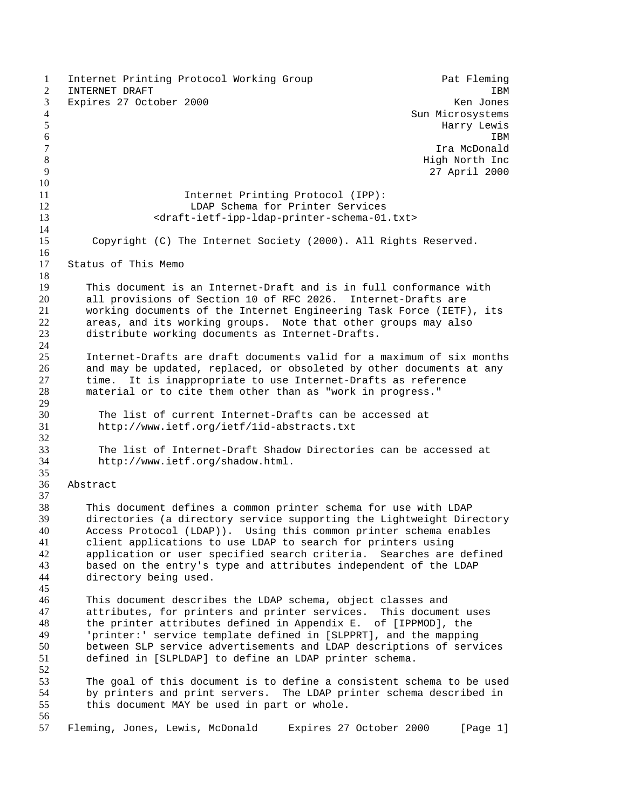1 Internet Printing Protocol Working Group Pat Fleming 2 INTERNET DRAFT **IBM**  Expires 27 October 2000 Ken Jones Sun Microsystems 5 Second to the contract of the contract of the contract of the Harry Lewis Harry Lewis  $\sim$  1BM  $\,$  IBM  $\,$  Ira McDonald 8 and 10 minutes of the state of the state of the state of the High North Inc. 27 April 2000 Internet Printing Protocol (IPP): LDAP Schema for Printer Services <draft-ietf-ipp-ldap-printer-schema-01.txt> Copyright (C) The Internet Society (2000). All Rights Reserved. Status of This Memo 19 This document is an Internet-Draft and is in full conformance with<br>20 all provisions of Section 10 of RFC 2026. Internet-Drafts are all provisions of Section 10 of RFC 2026. Internet-Drafts are working documents of the Internet Engineering Task Force (IETF), its areas, and its working groups. Note that other groups may also distribute working documents as Internet-Drafts. Internet-Drafts are draft documents valid for a maximum of six months and may be updated, replaced, or obsoleted by other documents at any time. It is inappropriate to use Internet-Drafts as reference material or to cite them other than as "work in progress." The list of current Internet-Drafts can be accessed at http://www.ietf.org/ietf/1id-abstracts.txt The list of Internet-Draft Shadow Directories can be accessed at http://www.ietf.org/shadow.html. Abstract This document defines a common printer schema for use with LDAP 39 directories (a directory service supporting the Lightweight Directory<br>40 Access Protocol (LDAP)). Using this common printer schema enables Access Protocol (LDAP)). Using this common printer schema enables client applications to use LDAP to search for printers using application or user specified search criteria. Searches are defined based on the entry's type and attributes independent of the LDAP directory being used. This document describes the LDAP schema, object classes and attributes, for printers and printer services. This document uses the printer attributes defined in Appendix E. of [IPPMOD], the 'printer:' service template defined in [SLPPRT], and the mapping between SLP service advertisements and LDAP descriptions of services defined in [SLPLDAP] to define an LDAP printer schema. The goal of this document is to define a consistent schema to be used by printers and print servers. The LDAP printer schema described in this document MAY be used in part or whole. Fleming, Jones, Lewis, McDonald Expires 27 October 2000 [Page 1]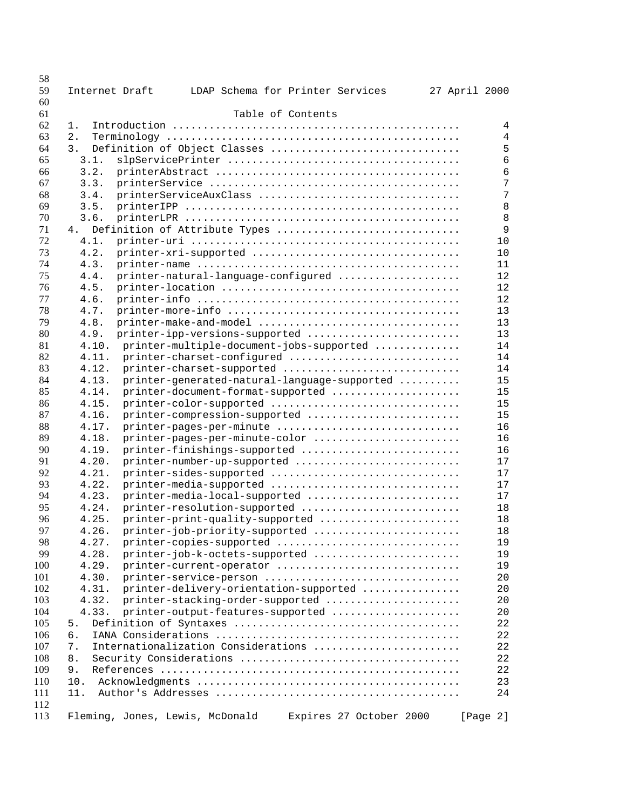| 58  |                |                                 |                                              |                         |               |          |    |
|-----|----------------|---------------------------------|----------------------------------------------|-------------------------|---------------|----------|----|
| 59  | Internet Draft |                                 | LDAP Schema for Printer Services             |                         | 27 April 2000 |          |    |
| 60  |                |                                 |                                              |                         |               |          |    |
| 61  |                |                                 |                                              | Table of Contents       |               |          |    |
| 62  | 1.             |                                 |                                              |                         |               |          | 4  |
| 63  | 2.             |                                 |                                              |                         |               |          | 4  |
| 64  | 3.             |                                 | Definition of Object Classes                 |                         |               |          | 5  |
| 65  | 3.1.           |                                 |                                              |                         |               |          | 6  |
| 66  | 3.2.           |                                 |                                              |                         |               |          | 6  |
| 67  | 3.3.           |                                 |                                              |                         |               |          | 7  |
| 68  | 3.4.           |                                 | printerServiceAuxClass                       |                         |               |          | 7  |
| 69  | 3.5.           |                                 |                                              |                         |               |          | 8  |
| 70  | 3.6.           |                                 |                                              |                         |               |          | 8  |
| 71  | 4.             |                                 | Definition of Attribute Types                |                         |               |          | 9  |
| 72  | 4.1.           |                                 |                                              |                         |               |          | 10 |
| 73  | 4.2.           |                                 |                                              |                         |               |          | 10 |
| 74  | 4.3.           |                                 |                                              |                         |               |          | 11 |
| 75  | 4.4.           |                                 | printer-natural-language-configured          |                         |               |          | 12 |
| 76  | 4.5.           |                                 |                                              |                         |               |          | 12 |
| 77  | 4.6.           |                                 |                                              |                         |               |          | 12 |
| 78  | 4.7.           |                                 |                                              |                         |               |          | 13 |
| 79  | 4.8.           |                                 | printer-make-and-model                       |                         |               |          | 13 |
| 80  | 4.9.           |                                 | printer-ipp-versions-supported               |                         |               |          | 13 |
| 81  | 4.10.          |                                 | printer-multiple-document-jobs-supported     |                         |               |          | 14 |
| 82  | 4.11.          |                                 | printer-charset-configured                   |                         |               |          | 14 |
| 83  | 4.12.          |                                 | printer-charset-supported                    |                         |               |          | 14 |
| 84  | 4.13.          |                                 |                                              |                         |               |          | 15 |
|     | 4.14.          |                                 | printer-generated-natural-language-supported |                         |               |          |    |
| 85  |                |                                 | printer-document-format-supported            |                         |               |          | 15 |
| 86  | 4.15.          |                                 | printer-color-supported                      |                         |               |          | 15 |
| 87  | 4.16.          |                                 | printer-compression-supported                |                         |               |          | 15 |
| 88  | 4.17.          |                                 | printer-pages-per-minute                     |                         |               |          | 16 |
| 89  | 4.18.          |                                 | printer-pages-per-minute-color               |                         |               |          | 16 |
| 90  | 4.19.          |                                 | printer-finishings-supported                 |                         |               |          | 16 |
| 91  | 4.20.          |                                 | printer-number-up-supported                  |                         |               |          | 17 |
| 92  | 4.21.          |                                 | printer-sides-supported                      |                         |               |          | 17 |
| 93  | 4.22.          |                                 | printer-media-supported                      |                         |               |          | 17 |
| 94  | 4.23.          |                                 | printer-media-local-supported                |                         |               |          | 17 |
| 95  | 4.24.          |                                 | printer-resolution-supported                 |                         |               |          | 18 |
| 96  | 4.25.          |                                 | printer-print-quality-supported              |                         |               |          | 18 |
| 97  | 4.26.          |                                 | printer-job-priority-supported               |                         |               |          | 18 |
| 98  | 4.27.          |                                 | printer-copies-supported                     |                         |               |          | 19 |
| 99  | 4.28.          |                                 | printer-job-k-octets-supported               |                         |               |          | 19 |
| 100 | 4.29.          |                                 | printer-current-operator                     |                         |               |          | 19 |
| 101 | 4.30.          |                                 | printer-service-person                       |                         |               |          | 20 |
| 102 | 4.31.          |                                 | printer-delivery-orientation-supported       |                         |               |          | 20 |
| 103 | 4.32.          |                                 | printer-stacking-order-supported             |                         |               |          | 20 |
| 104 | 4.33.          |                                 | printer-output-features-supported            |                         |               |          | 20 |
| 105 | 5.             |                                 |                                              |                         |               |          | 22 |
| 106 | б.             |                                 |                                              |                         |               |          | 22 |
| 107 | 7.             |                                 | Internationalization Considerations          |                         |               |          | 22 |
| 108 | 8.             |                                 |                                              |                         |               |          | 22 |
| 109 | 9.             |                                 |                                              |                         |               |          | 22 |
| 110 | 10.            |                                 |                                              |                         |               |          | 23 |
| 111 | 11.            |                                 |                                              |                         |               |          | 24 |
| 112 |                |                                 |                                              |                         |               |          |    |
| 113 |                | Fleming, Jones, Lewis, McDonald |                                              | Expires 27 October 2000 |               | [Page 2] |    |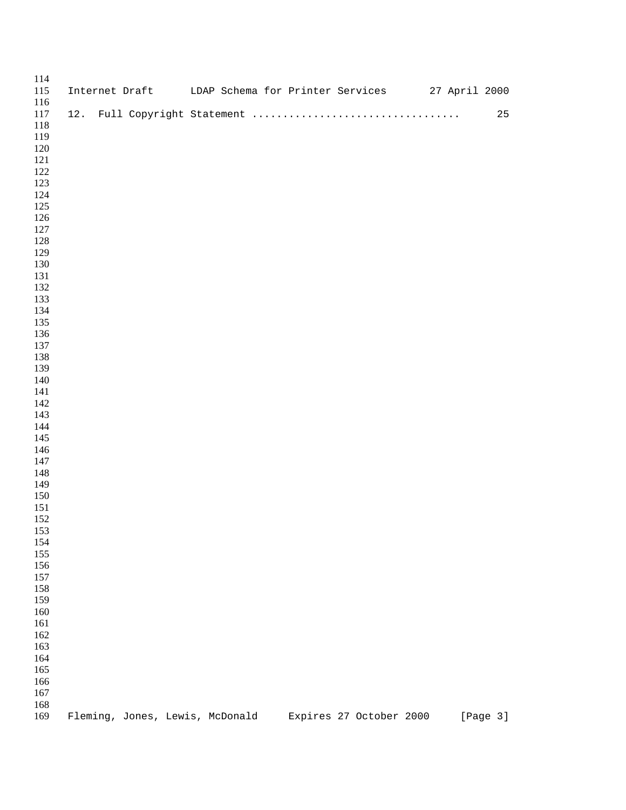| 114<br>115<br>116 |     |  | Internet Draft UDAP Schema for Printer Services 27 April 2000 |  |                         |  |          |
|-------------------|-----|--|---------------------------------------------------------------|--|-------------------------|--|----------|
| 117               | 12. |  |                                                               |  |                         |  | 25       |
| 118               |     |  |                                                               |  |                         |  |          |
| 119               |     |  |                                                               |  |                         |  |          |
| 120<br>121        |     |  |                                                               |  |                         |  |          |
| 122               |     |  |                                                               |  |                         |  |          |
| 123               |     |  |                                                               |  |                         |  |          |
| 124               |     |  |                                                               |  |                         |  |          |
| 125               |     |  |                                                               |  |                         |  |          |
| 126               |     |  |                                                               |  |                         |  |          |
| 127               |     |  |                                                               |  |                         |  |          |
| 128               |     |  |                                                               |  |                         |  |          |
| 129               |     |  |                                                               |  |                         |  |          |
| 130               |     |  |                                                               |  |                         |  |          |
| 131               |     |  |                                                               |  |                         |  |          |
| 132               |     |  |                                                               |  |                         |  |          |
| 133               |     |  |                                                               |  |                         |  |          |
| 134               |     |  |                                                               |  |                         |  |          |
| 135<br>136        |     |  |                                                               |  |                         |  |          |
| 137               |     |  |                                                               |  |                         |  |          |
| 138               |     |  |                                                               |  |                         |  |          |
| 139               |     |  |                                                               |  |                         |  |          |
| 140               |     |  |                                                               |  |                         |  |          |
| 141               |     |  |                                                               |  |                         |  |          |
| 142               |     |  |                                                               |  |                         |  |          |
| 143               |     |  |                                                               |  |                         |  |          |
| 144               |     |  |                                                               |  |                         |  |          |
| 145               |     |  |                                                               |  |                         |  |          |
| 146               |     |  |                                                               |  |                         |  |          |
| 147               |     |  |                                                               |  |                         |  |          |
| 148               |     |  |                                                               |  |                         |  |          |
| 149<br>150        |     |  |                                                               |  |                         |  |          |
| 151               |     |  |                                                               |  |                         |  |          |
| 152               |     |  |                                                               |  |                         |  |          |
| 153               |     |  |                                                               |  |                         |  |          |
| 154               |     |  |                                                               |  |                         |  |          |
| 155               |     |  |                                                               |  |                         |  |          |
| 156               |     |  |                                                               |  |                         |  |          |
| 157               |     |  |                                                               |  |                         |  |          |
| 158               |     |  |                                                               |  |                         |  |          |
| 159               |     |  |                                                               |  |                         |  |          |
| 160               |     |  |                                                               |  |                         |  |          |
| 161               |     |  |                                                               |  |                         |  |          |
| 162               |     |  |                                                               |  |                         |  |          |
| 163<br>164        |     |  |                                                               |  |                         |  |          |
| 165               |     |  |                                                               |  |                         |  |          |
| 166               |     |  |                                                               |  |                         |  |          |
| 167               |     |  |                                                               |  |                         |  |          |
| 168               |     |  |                                                               |  |                         |  |          |
| 169               |     |  | Fleming, Jones, Lewis, McDonald                               |  | Expires 27 October 2000 |  | [Page 3] |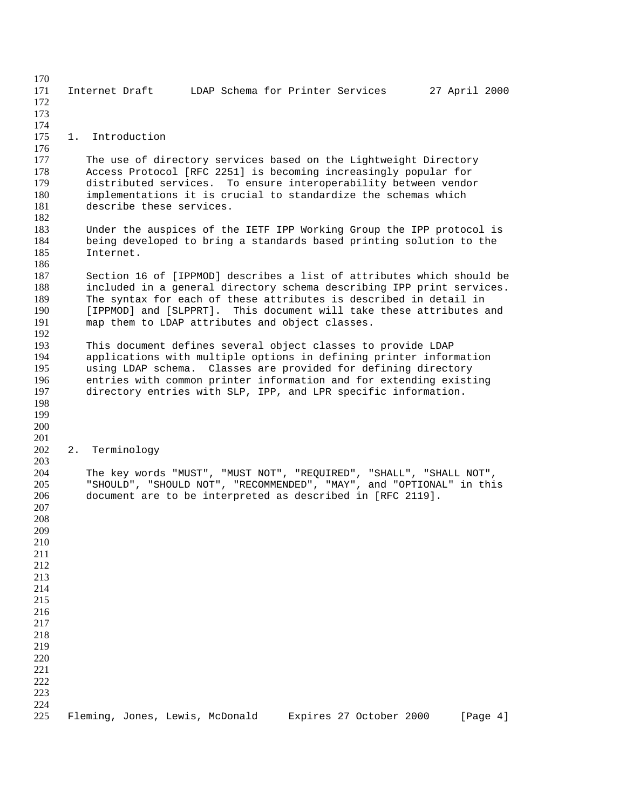Internet Draft LDAP Schema for Printer Services 27 April 2000 1. Introduction 177 The use of directory services based on the Lightweight Directory<br>178 Access Protocol (RFC 2251) is becoming increasingly popular for Access Protocol [RFC 2251] is becoming increasingly popular for distributed services. To ensure interoperability between vendor implementations it is crucial to standardize the schemas which describe these services. Under the auspices of the IETF IPP Working Group the IPP protocol is being developed to bring a standards based printing solution to the Internet. 187 Section 16 of [IPPMOD] describes a list of attributes which should be 188 included in a general directory schema describing IPP print services. 188 included in a general directory schema describing IPP print services.<br>189 The syntax for each of these attributes is described in detail in 189 The syntax for each of these attributes is described in detail in<br>190 [IPPMOD] and [SLPPRT]. This document will take these attributes [IPPMOD] and [SLPPRT]. This document will take these attributes and map them to LDAP attributes and object classes. This document defines several object classes to provide LDAP 194 applications with multiple options in defining printer information<br>195 using LDAP schema. Classes are provided for defining directory using LDAP schema. Classes are provided for defining directory entries with common printer information and for extending existing directory entries with SLP, IPP, and LPR specific information. 2. Terminology The key words "MUST", "MUST NOT", "REQUIRED", "SHALL", "SHALL NOT", "SHOULD", "SHOULD NOT", "RECOMMENDED", "MAY", and "OPTIONAL" in this document are to be interpreted as described in [RFC 2119]. Fleming, Jones, Lewis, McDonald Expires 27 October 2000 [Page 4]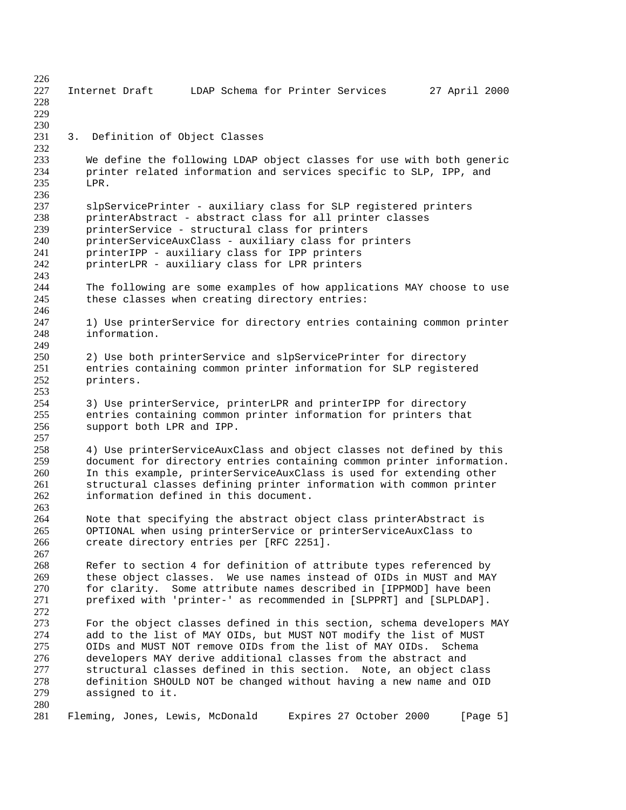Internet Draft LDAP Schema for Printer Services 27 April 2000 3. Definition of Object Classes 233 We define the following LDAP object classes for use with both generic<br>234 printer related information and services specific to SLP. IPP. and printer related information and services specific to SLP, IPP, and LPR. slpServicePrinter - auxiliary class for SLP registered printers printerAbstract - abstract class for all printer classes printerService - structural class for printers 240 printerServiceAuxClass - auxiliary class for printers<br>241 printerIPP - auxiliary class for IPP printers 241 printerIPP - auxiliary class for IPP printers<br>242 printerLPR - auxiliary class for LPR printers printerLPR - auxiliary class for LPR printers 244 The following are some examples of how applications MAY choose to use<br>245 these classes when creating directory entries: these classes when creating directory entries: 1) Use printerService for directory entries containing common printer information. 250 2) Use both printerService and slpServicePrinter for directory<br>251 entries containing common printer information for SLP registere entries containing common printer information for SLP registered printers. 254 3) Use printerService, printerLPR and printerIPP for directory<br>255 entries containing common printer information for printers that entries containing common printer information for printers that support both LPR and IPP. 257<br>258 4) Use printerServiceAuxClass and object classes not defined by this 259 document for directory entries containing common printer information.<br>260 In this example, printerServiceAuxClass is used for extending other In this example, printerServiceAuxClass is used for extending other 261 structural classes defining printer information with common printer<br>262 information defined in this document. information defined in this document. 264 Note that specifying the abstract object class printerAbstract is<br>265 OPTIONAL when using printerService or printerServiceAuxClass to OPTIONAL when using printerService or printerServiceAuxClass to create directory entries per [RFC 2251]. Refer to section 4 for definition of attribute types referenced by these object classes. We use names instead of OIDs in MUST and MAY 270 for clarity. Some attribute names described in [IPPMOD] have been<br>271 brefixed with 'printer-' as recommended in [SLPPRT] and [SLPLDAP]. prefixed with 'printer-' as recommended in [SLPPRT] and [SLPLDAP]. 273 For the object classes defined in this section, schema developers MAY<br>274 add to the list of MAY OIDs, but MUST NOT modify the list of MUST 274 add to the list of MAY OIDs, but MUST NOT modify the list of MUST<br>275 OIDs and MUST NOT remove OIDs from the list of MAY OIDs. Schema OIDs and MUST NOT remove OIDs from the list of MAY OIDs. Schema developers MAY derive additional classes from the abstract and structural classes defined in this section. Note, an object class definition SHOULD NOT be changed without having a new name and OID assigned to it. Fleming, Jones, Lewis, McDonald Expires 27 October 2000 [Page 5]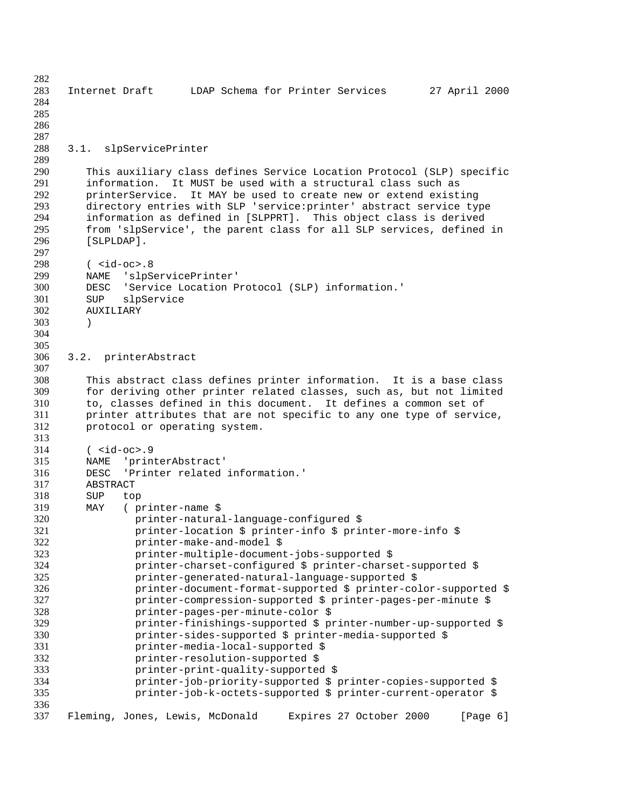Internet Draft LDAP Schema for Printer Services 27 April 2000 3.1. slpServicePrinter This auxiliary class defines Service Location Protocol (SLP) specific information. It MUST be used with a structural class such as printerService. It MAY be used to create new or extend existing directory entries with SLP 'service:printer' abstract service type information as defined in [SLPPRT]. This object class is derived from 'slpService', the parent class for all SLP services, defined in [SLPLDAP]. 298 ( <id-oc>.8<br>299 MAME 'slpS 299 NAME 'slpServicePrinter'<br>300 DESC 'Service Location P DESC 'Service Location Protocol (SLP) information.' SUP slpService AUXILIARY ) 3.2. printerAbstract This abstract class defines printer information. It is a base class for deriving other printer related classes, such as, but not limited to, classes defined in this document. It defines a common set of printer attributes that are not specific to any one type of service, protocol or operating system. ( <id-oc>.9 NAME 'printerAbstract' DESC 'Printer related information.' **ABSTRACT**  SUP top 319 MAY (printer-name \$<br>320 printer-natura 320 printer-natural-language-configured \$<br>321 printer-location \$ printer-info \$ pri printer-location \$ printer-info \$ printer-more-info \$ printer-make-and-model \$ printer-multiple-document-jobs-supported \$ printer-charset-configured \$ printer-charset-supported \$ printer-generated-natural-language-supported \$ printer-document-format-supported \$ printer-color-supported \$ printer-compression-supported \$ printer-pages-per-minute \$ 328 printer-pages-per-minute-color \$<br>329 printer-finishings-supported \$ p 329 printer-finishings-supported \$ printer-number-up-supported \$<br>330 printer-sides-supported \$ printer-media-supported \$ printer-sides-supported \$ printer-media-supported \$ printer-media-local-supported \$ printer-resolution-supported \$ printer-print-quality-supported \$ printer-job-priority-supported \$ printer-copies-supported \$ printer-job-k-octets-supported \$ printer-current-operator \$ Fleming, Jones, Lewis, McDonald Expires 27 October 2000 [Page 6]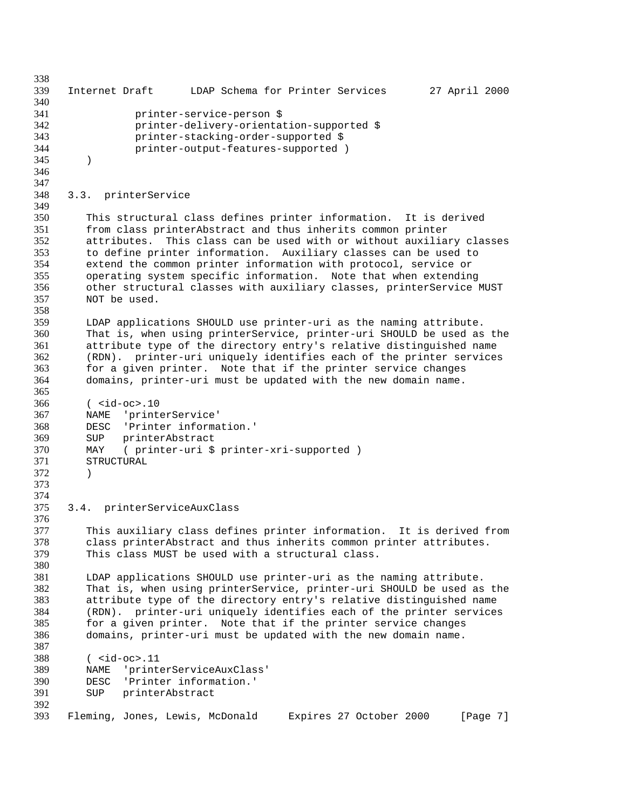Internet Draft LDAP Schema for Printer Services 27 April 2000 printer-service-person \$ printer-delivery-orientation-supported \$ printer-stacking-order-supported \$ printer-output-features-supported ) ) 3.3. printerService This structural class defines printer information. It is derived from class printerAbstract and thus inherits common printer attributes. This class can be used with or without auxiliary classes to define printer information. Auxiliary classes can be used to extend the common printer information with protocol, service or operating system specific information. Note that when extending other structural classes with auxiliary classes, printerService MUST NOT be used. LDAP applications SHOULD use printer-uri as the naming attribute. That is, when using printerService, printer-uri SHOULD be used as the attribute type of the directory entry's relative distinguished name (RDN). printer-uri uniquely identifies each of the printer services for a given printer. Note that if the printer service changes domains, printer-uri must be updated with the new domain name. ( <id-oc>.10 NAME 'printerService' DESC 'Printer information.' SUP printerAbstract MAY ( printer-uri \$ printer-xri-supported ) STRUCTURAL ) 3.4. printerServiceAuxClass 376<br>377 This auxiliary class defines printer information. It is derived from class printerAbstract and thus inherits common printer attributes. This class MUST be used with a structural class. LDAP applications SHOULD use printer-uri as the naming attribute. That is, when using printerService, printer-uri SHOULD be used as the attribute type of the directory entry's relative distinguished name 384 (RDN). printer-uri uniquely identifies each of the printer services<br>385 for a given printer. Note that if the printer service changes 385 for a given printer. Note that if the printer service changes<br>386 domains, printer-uri must be updated with the new domain name. domains, printer-uri must be updated with the new domain name. ( <id-oc>.11 NAME 'printerServiceAuxClass' DESC 'Printer information.' SUP printerAbstract Fleming, Jones, Lewis, McDonald Expires 27 October 2000 [Page 7]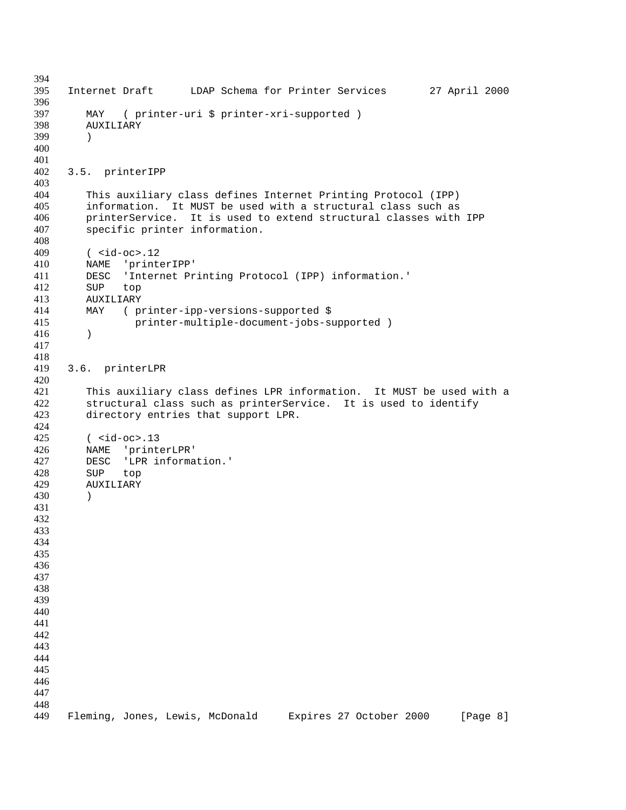```
394
395 Internet Draft LDAP Schema for Printer Services 27 April 2000
396
397 MAY ( printer-uri $ printer-xri-supported )
398 AUXILIARY
399 )
400
401
402 3.5. printerIPP
403
404 This auxiliary class defines Internet Printing Protocol (IPP)
405 information. It MUST be used with a structural class such as
406 printerService. It is used to extend structural classes with IPP
407 specific printer information.
408
409 ( <id-oc>.12
410 NAME 'printerIPP'<br>411 DESC 'Internet Pr
411 DESC 'Internet Printing Protocol (IPP) information.'<br>412 SUP top
412 SUP top<br>413 AUXILIARY
       413 AUXILIARY
414 MAY ( printer-ipp-versions-supported $
415 printer-multiple-document-jobs-supported )
416 )
417
418
419 3.6. printerLPR
420
421 This auxiliary class defines LPR information. It MUST be used with a
422 structural class such as printerService. It is used to identify
423 directory entries that support LPR.
424
       (\epsilon_{id-oc}.13
426 NAME 'printerLPR'
427 DESC 'LPR information.'
428 SUP top
        429 AUXILIARY
430 )
431
432
433
434
435
436
437
438
439
440
441
442
443
444
445
446
447
448
449 Fleming, Jones, Lewis, McDonald Expires 27 October 2000 [Page 8]
```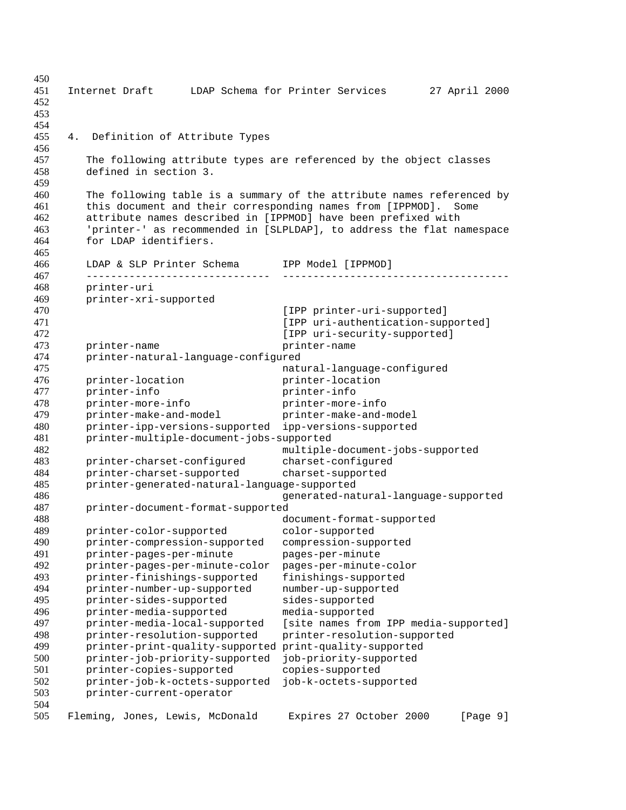Internet Draft LDAP Schema for Printer Services 27 April 2000 4. Definition of Attribute Types The following attribute types are referenced by the object classes defined in section 3. The following table is a summary of the attribute names referenced by this document and their corresponding names from [IPPMOD]. Some attribute names described in [IPPMOD] have been prefixed with 'printer-' as recommended in [SLPLDAP], to address the flat namespace for LDAP identifiers. LDAP & SLP Printer Schema IPP Model [IPPMOD] ------------------------------ ------------------------------------- printer-uri printer-xri-supported **IPP** printer-uri-supported] **IPP** uri-authentication-supported] **IPP** uri-security-supported] 473 printer-name printer-name printer-natural-language-configured natural-language-configured printer-location printer-location printer-info printer-info printer-more-info printer-more-info printer-make-and-model printer-make-and-model printer-ipp-versions-supported ipp-versions-supported printer-multiple-document-jobs-supported multiple-document-jobs-supported printer-charset-configured charset-configured printer-charset-supported charset-supported printer-generated-natural-language-supported generated-natural-language-supported printer-document-format-supported document-format-supported printer-color-supported color-supported printer-compression-supported compression-supported printer-pages-per-minute pages-per-minute printer-pages-per-minute-color pages-per-minute-color printer-finishings-supported finishings-supported printer-number-up-supported number-up-supported printer-sides-supported sides-supported printer-media-supported media-supported 497 printer-media-local-supported [site names from IPP media-supported]<br>498 printer-resolution-supported printer-resolution-supported printer-resolution-supported printer-resolution-supported printer-print-quality-supported print-quality-supported printer-job-priority-supported job-priority-supported printer-copies-supported copies-supported printer-job-k-octets-supported job-k-octets-supported printer-current-operator Fleming, Jones, Lewis, McDonald Expires 27 October 2000 [Page 9]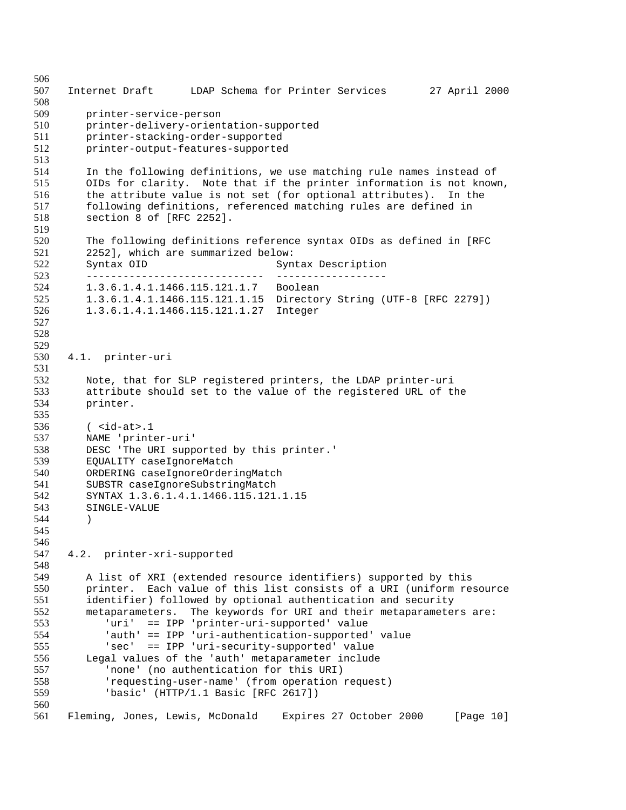Internet Draft LDAP Schema for Printer Services 27 April 2000 printer-service-person printer-delivery-orientation-supported printer-stacking-order-supported printer-output-features-supported In the following definitions, we use matching rule names instead of OIDs for clarity. Note that if the printer information is not known, the attribute value is not set (for optional attributes). In the following definitions, referenced matching rules are defined in section 8 of [RFC 2252]. 520 The following definitions reference syntax OIDs as defined in [RFC<br>521 2252], which are summarized below: 521 2252], which are summarized below:<br>522 Syntax OID Syn Syntax OID Syntax Description ----------------------------- ------------------ 1.3.6.1.4.1.1466.115.121.1.7 Boolean 1.3.6.1.4.1.1466.115.121.1.15 Directory String (UTF-8 [RFC 2279]) 1.3.6.1.4.1.1466.115.121.1.27 Integer 4.1. printer-uri Note, that for SLP registered printers, the LDAP printer-uri attribute should set to the value of the registered URL of the printer. ( <id-at>.1 NAME 'printer-uri' DESC 'The URI supported by this printer.' 539 EQUALITY caseIgnoreMatch<br>540 ORDERING caseIgnoreOrder: 540 ORDERING caseIgnoreOrderingMatch<br>541 SUBSTR caseIgnoreSubstringMatch 541 SUBSTR caseIgnoreSubstringMatch<br>542 SYNTAX 1.3.6.1.4.1.1466.115.121 SYNTAX 1.3.6.1.4.1.1466.115.121.1.15 SINGLE-VALUE ) 4.2. printer-xri-supported A list of XRI (extended resource identifiers) supported by this printer. Each value of this list consists of a URI (uniform resource identifier) followed by optional authentication and security metaparameters. The keywords for URI and their metaparameters are: 553 'uri' == IPP 'printer-uri-supported' value<br>554 'auth' == IPP 'uri-authentication-supported 'auth' == IPP 'uri-authentication-supported' value 'sec' == IPP 'uri-security-supported' value Legal values of the 'auth' metaparameter include 'none' (no authentication for this URI) 'requesting-user-name' (from operation request) 'basic' (HTTP/1.1 Basic [RFC 2617]) Fleming, Jones, Lewis, McDonald Expires 27 October 2000 [Page 10]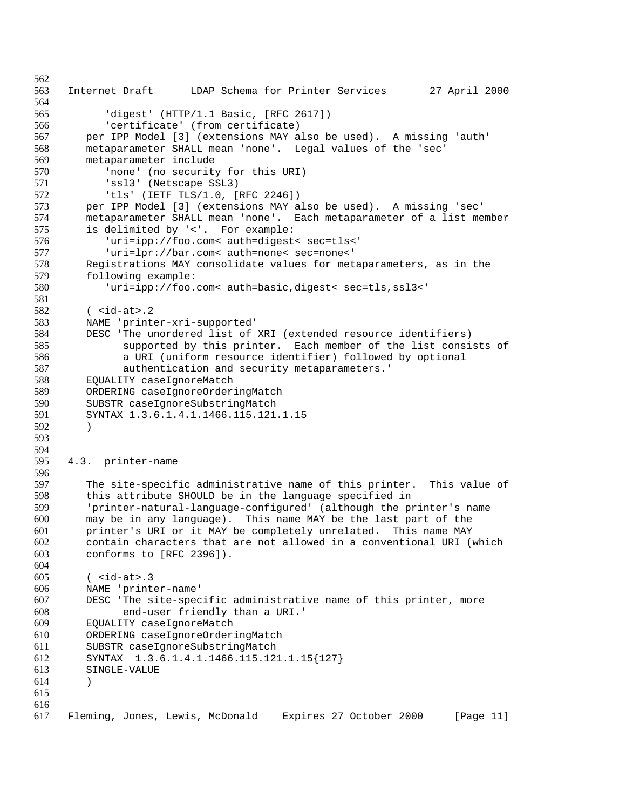Internet Draft LDAP Schema for Printer Services 27 April 2000 'digest' (HTTP/1.1 Basic, [RFC 2617]) 'certificate' (from certificate) per IPP Model [3] (extensions MAY also be used). A missing 'auth' metaparameter SHALL mean 'none'. Legal values of the 'sec' metaparameter include 'none' (no security for this URI) 'ssl3' (Netscape SSL3) 'tls' (IETF TLS/1.0, [RFC 2246]) per IPP Model [3] (extensions MAY also be used). A missing 'sec' metaparameter SHALL mean 'none'. Each metaparameter of a list member is delimited by '<'. For example: 576 'uri=ipp://foo.com< auth=digest< sec=tls<'<br>577 'uri=lpr://bar.com< auth=none< sec=none<' 'uri=lpr://bar.com< auth=none< sec=none<' 578 Registrations MAY consolidate values for metaparameters, as in the 579 following example: 579 following example:<br>580  $uri = ipp://foo.$ 'uri=ipp://foo.com< auth=basic,digest< sec=tls,ssl3<' ( <id-at>.2 NAME 'printer-xri-supported' DESC 'The unordered list of XRI (extended resource identifiers) supported by this printer. Each member of the list consists of a URI (uniform resource identifier) followed by optional authentication and security metaparameters.' EQUALITY caseIgnoreMatch ORDERING caseIgnoreOrderingMatch SUBSTR caseIgnoreSubstringMatch SYNTAX 1.3.6.1.4.1.1466.115.121.1.15 ) 4.3. printer-name 597 The site-specific administrative name of this printer. This value of 598 this attribute SHOULD be in the language specified in this attribute SHOULD be in the language specified in 'printer-natural-language-configured' (although the printer's name may be in any language). This name MAY be the last part of the printer's URI or it MAY be completely unrelated. This name MAY contain characters that are not allowed in a conventional URI (which conforms to [RFC 2396]). ( <id-at>.3 NAME 'printer-name' DESC 'The site-specific administrative name of this printer, more end-user friendly than a URI.' 609 EQUALITY caseIgnoreMatch<br>610 ORDERING caseIgnoreOrder ORDERING caseIgnoreOrderingMatch SUBSTR caseIgnoreSubstringMatch SYNTAX 1.3.6.1.4.1.1466.115.121.1.15{127} SINGLE-VALUE ) Fleming, Jones, Lewis, McDonald Expires 27 October 2000 [Page 11]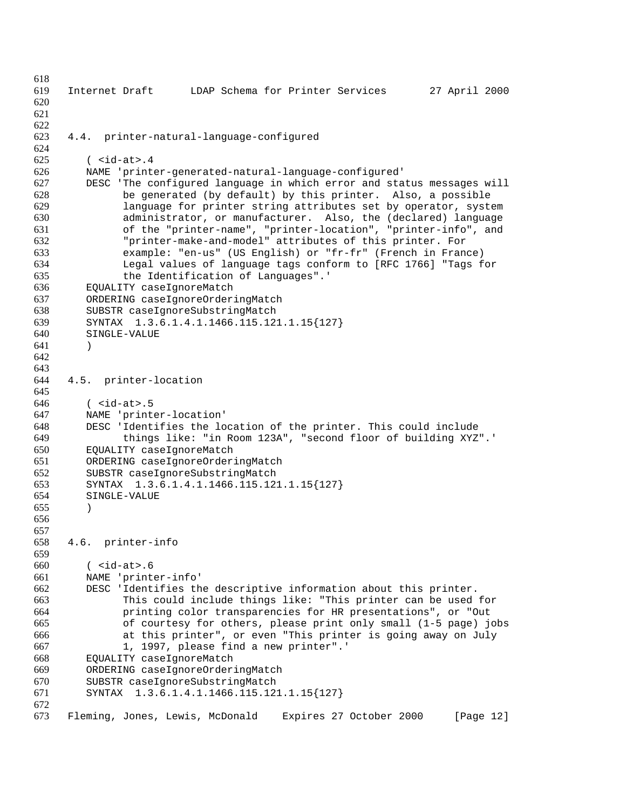Internet Draft LDAP Schema for Printer Services 27 April 2000 4.4. printer-natural-language-configured ( <id-at>.4 NAME 'printer-generated-natural-language-configured' DESC 'The configured language in which error and status messages will be generated (by default) by this printer. Also, a possible language for printer string attributes set by operator, system administrator, or manufacturer. Also, the (declared) language of the "printer-name", "printer-location", "printer-info", and "printer-make-and-model" attributes of this printer. For example: "en-us" (US English) or "fr-fr" (French in France) Legal values of language tags conform to [RFC 1766] "Tags for 635 the Identification of Languages".<br>636 EOUALITY caseIgnoreMatch EQUALITY caseIgnoreMatch ORDERING caseIgnoreOrderingMatch SUBSTR caseIgnoreSubstringMatch SYNTAX 1.3.6.1.4.1.1466.115.121.1.15{127} SINGLE-VALUE ) 4.5. printer-location ( <id-at>.5 NAME 'printer-location' DESC 'Identifies the location of the printer. This could include things like: "in Room 123A", "second floor of building XYZ".' EQUALITY caseIgnoreMatch ORDERING caseIgnoreOrderingMatch 652 SUBSTR caseIgnoreSubstringMatch<br>653 SYNTAX 1.3.6.1.4.1.1466.115.12 SYNTAX 1.3.6.1.4.1.1466.115.121.1.15{127} SINGLE-VALUE ) 4.6. printer-info ( <id-at>.6 NAME 'printer-info' DESC 'Identifies the descriptive information about this printer. This could include things like: "This printer can be used for printing color transparencies for HR presentations", or "Out of courtesy for others, please print only small (1-5 page) jobs at this printer", or even "This printer is going away on July 1, 1997, please find a new printer".' EQUALITY caseIgnoreMatch ORDERING caseIgnoreOrderingMatch SUBSTR caseIgnoreSubstringMatch SYNTAX 1.3.6.1.4.1.1466.115.121.1.15{127} Fleming, Jones, Lewis, McDonald Expires 27 October 2000 [Page 12]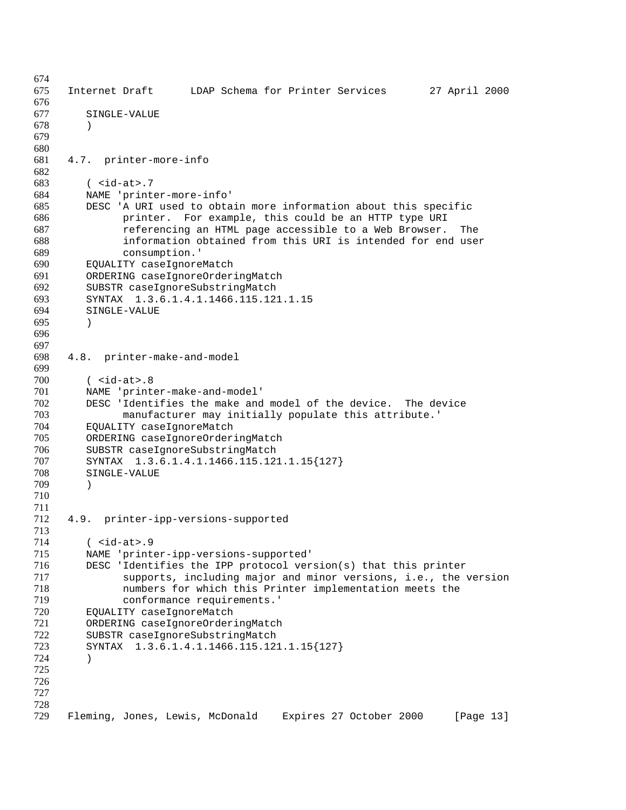Internet Draft LDAP Schema for Printer Services 27 April 2000 SINGLE-VALUE ) 4.7. printer-more-info ( <id-at>.7 NAME 'printer-more-info' DESC 'A URI used to obtain more information about this specific printer. For example, this could be an HTTP type URI referencing an HTML page accessible to a Web Browser. The information obtained from this URI is intended for end user consumption.' 690 EQUALITY caseIgnoreMatch<br>691 ORDERING caseIgnoreOrder 691 ORDERING caseIgnoreOrderingMatch<br>692 SUBSTR caseIgnoreSubstringMatch 692 SUBSTR caseIgnoreSubstringMatch<br>693 SYNTAX 1.3.6.1.4.1.1466.115.12 SYNTAX 1.3.6.1.4.1.1466.115.121.1.15 SINGLE-VALUE ) 4.8. printer-make-and-model ( <id-at>.8 NAME 'printer-make-and-model' DESC 'Identifies the make and model of the device. The device manufacturer may initially populate this attribute.' 704 EQUALITY caseIgnoreMatch<br>705 ORDERING caseIgnoreOrder: ORDERING caseIgnoreOrderingMatch SUBSTR caseIgnoreSubstringMatch SYNTAX 1.3.6.1.4.1.1466.115.121.1.15{127} SINGLE-VALUE ) 4.9. printer-ipp-versions-supported ( <id-at>.9 NAME 'printer-ipp-versions-supported' DESC 'Identifies the IPP protocol version(s) that this printer supports, including major and minor versions, i.e., the version numbers for which this Printer implementation meets the conformance requirements.' 720 EQUALITY caseIgnoreMatch<br>721 ORDERING caseIgnoreOrder ORDERING caseIgnoreOrderingMatch SUBSTR caseIgnoreSubstringMatch SYNTAX 1.3.6.1.4.1.1466.115.121.1.15{127} ) Fleming, Jones, Lewis, McDonald Expires 27 October 2000 [Page 13]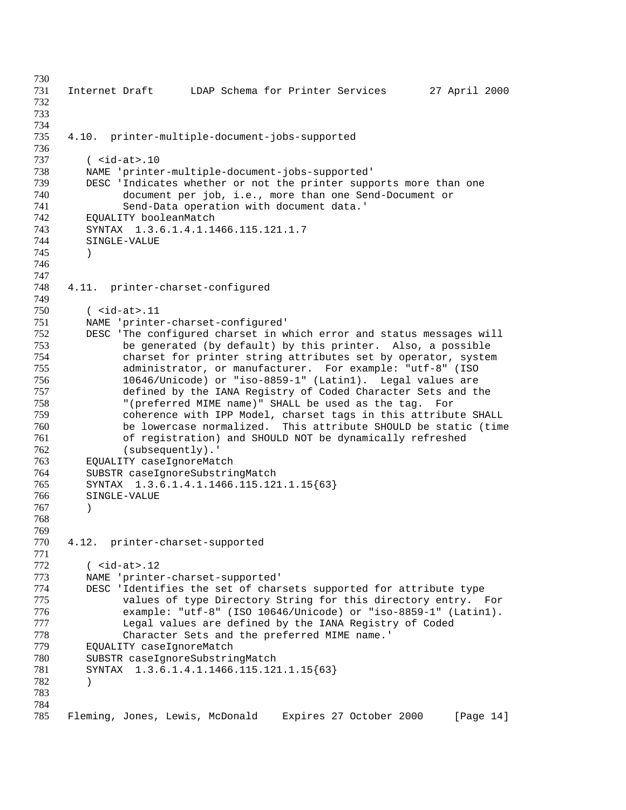Internet Draft LDAP Schema for Printer Services 27 April 2000 4.10. printer-multiple-document-jobs-supported 737 ( <id-at>.10<br>738 MAME 'printe: NAME 'printer-multiple-document-jobs-supported' DESC 'Indicates whether or not the printer supports more than one document per job, i.e., more than one Send-Document or Send-Data operation with document data.' EQUALITY booleanMatch SYNTAX 1.3.6.1.4.1.1466.115.121.1.7 SINGLE-VALUE ) 4.11. printer-charset-configured ( <id-at>.11 NAME 'printer-charset-configured' DESC 'The configured charset in which error and status messages will be generated (by default) by this printer. Also, a possible charset for printer string attributes set by operator, system administrator, or manufacturer. For example: "utf-8" (ISO 10646/Unicode) or "iso-8859-1" (Latin1). Legal values are defined by the IANA Registry of Coded Character Sets and the "(preferred MIME name)" SHALL be used as the tag. For coherence with IPP Model, charset tags in this attribute SHALL be lowercase normalized. This attribute SHOULD be static (time of registration) and SHOULD NOT be dynamically refreshed (subsequently).' 763 EQUALITY caseIgnoreMatch<br>764 SUBSTR caseIgnoreSubstri SUBSTR caseIgnoreSubstringMatch SYNTAX 1.3.6.1.4.1.1466.115.121.1.15{63} SINGLE-VALUE ) 4.12. printer-charset-supported ( <id-at>.12 NAME 'printer-charset-supported' DESC 'Identifies the set of charsets supported for attribute type values of type Directory String for this directory entry. For example: "utf-8" (ISO 10646/Unicode) or "iso-8859-1" (Latin1). 777 The Legal values are defined by the IANA Registry of Coded<br>778 The Character Sets and the preferred MIME name.' 778 Character Sets and the preferred MIME name.'<br>779 EQUALITY caseIgnoreMatch EQUALITY caseIgnoreMatch SUBSTR caseIgnoreSubstringMatch SYNTAX 1.3.6.1.4.1.1466.115.121.1.15{63} ) Fleming, Jones, Lewis, McDonald Expires 27 October 2000 [Page 14]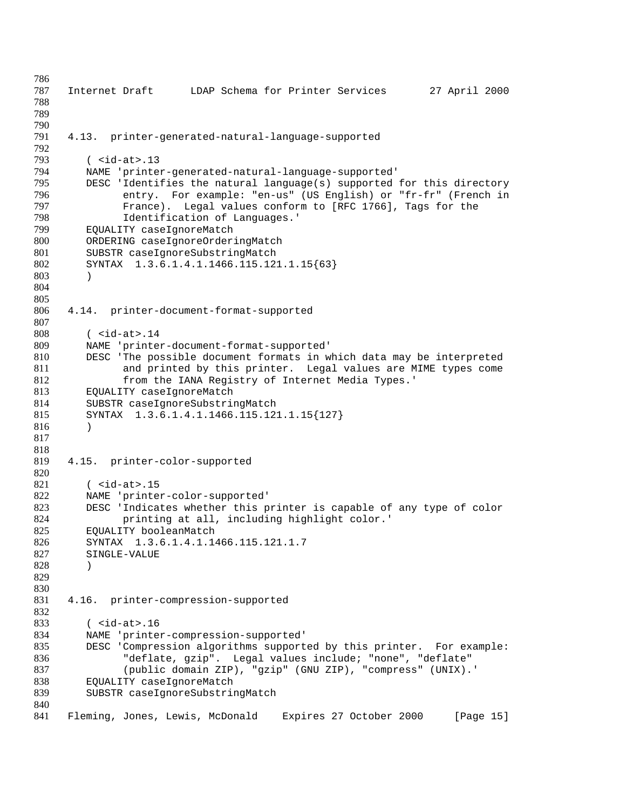```
786
787 Internet Draft LDAP Schema for Printer Services 27 April 2000
788
789
790
791 4.13. printer-generated-natural-language-supported
792
793 ( <id-at>.13<br>794 MAME 'printe:
        NAME 'printer-generated-natural-language-supported'
795 DESC 'Identifies the natural language(s) supported for this directory
796 entry. For example: "en-us" (US English) or "fr-fr" (French in
797 France). Legal values conform to [RFC 1766], Tags for the
798 Identification of Languages.'
799 EQUALITY caseIgnoreMatch
800 ORDERING caseIgnoreOrderingMatch<br>801 SUBSTR caseIgnoreSubstringMatch
801 SUBSTR caseIgnoreSubstringMatch<br>802 SYNTAX 1.3.6.1.4.1.1466.115.12
        SYNTAX 1.3.6.1.4.1.1466.115.121.1.15{63}
803 )
804
805
806 4.14. printer-document-format-supported
807
808 ( <id-at>.14
809 NAME 'printer-document-format-supported'
810 DESC 'The possible document formats in which data may be interpreted
811 and printed by this printer. Legal values are MIME types come
812 from the IANA Registry of Internet Media Types.'
813 EQUALITY caseIgnoreMatch
814 SUBSTR caseIgnoreSubstringMatch
815 SYNTAX 1.3.6.1.4.1.1466.115.121.1.15{127}
816 )
817
818
819 4.15. printer-color-supported
820
821 ( <id-at>.15<br>822 MAME 'printe:
        NAME 'printer-color-supported'
823 DESC 'Indicates whether this printer is capable of any type of color 824 printing at all, including highlight color.'
824 printing at all, including highlight color.'<br>825 BOUALITY booleanMatch
        EQUALITY booleanMatch
826 SYNTAX 1.3.6.1.4.1.1466.115.121.1.7
827 SINGLE-VALUE
828 )
829
830
831 4.16. printer-compression-supported
832
833 ( <id-at>.16<br>834 MAME 'printe:
        NAME 'printer-compression-supported'
835 DESC 'Compression algorithms supported by this printer. For example:
836 "deflate, gzip". Legal values include; "none", "deflate"
837 (public domain ZIP), "gzip" (GNU ZIP), "compress" (UNIX).'
838 EQUALITY caseIgnoreMatch
839 SUBSTR caseIgnoreSubstringMatch
840
841 Fleming, Jones, Lewis, McDonald Expires 27 October 2000 [Page 15]
```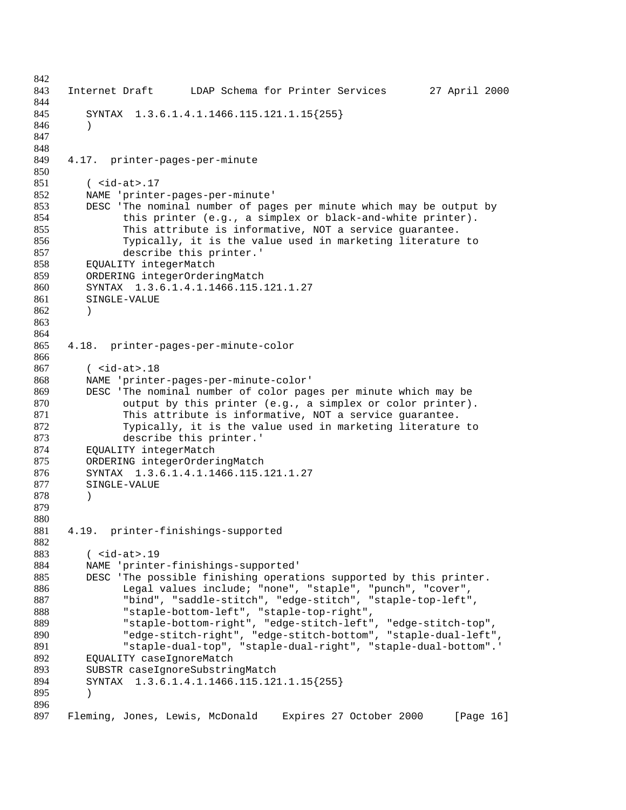```
842
843 Internet Draft LDAP Schema for Printer Services 27 April 2000
844
845 SYNTAX 1.3.6.1.4.1.1466.115.121.1.15{255}
846 )
847
848
849 4.17. printer-pages-per-minute
850
851 ( <id-at>.17
852 NAME 'printer-pages-per-minute'
853 DESC 'The nominal number of pages per minute which may be output by
854 this printer (e.g., a simplex or black-and-white printer).
855 This attribute is informative, NOT a service guarantee.
856 Typically, it is the value used in marketing literature to<br>857 describe this printer.'
              describe this printer.'
858 EQUALITY integerMatch<br>859 ORDERING integerOrder:
859 ORDERING integerOrderingMatch<br>860 SYNTAX 1.3.6.1.4.1.1466.115.
        860 SYNTAX 1.3.6.1.4.1.1466.115.121.1.27
861 SINGLE-VALUE
862 )
863
864
865 4.18. printer-pages-per-minute-color
866
867 ( <id-at>.18
868 NAME 'printer-pages-per-minute-color'
869 DESC 'The nominal number of color pages per minute which may be
870 output by this printer (e.g., a simplex or color printer).
871 This attribute is informative, NOT a service guarantee.
872 Typically, it is the value used in marketing literature to
873 describe this printer.'
874 EQUALITY integerMatch
875 ORDERING integerOrderingMatch<br>876 SYNTAX 1.3.6.1.4.1.1466.115.
876 SYNTAX 1.3.6.1.4.1.1466.115.121.1.27<br>877 SINGLE-VALUE
        SINGLE-VALUE
878 )
879
880
881 4.19. printer-finishings-supported
882
883 ( <id-at>.19
884 NAME 'printer-finishings-supported'
885 DESC 'The possible finishing operations supported by this printer.
886 Legal values include; "none", "staple", "punch", "cover",
887 "bind", "saddle-stitch", "edge-stitch", "staple-top-left",
888 "staple-bottom-left", "staple-top-right",
889 "staple-bottom-right", "edge-stitch-left", "edge-stitch-top",
              "edge-stitch-right", "edge-stitch-bottom", "staple-dual-left",
891 "staple-dual-top", "staple-dual-right", "staple-dual-bottom".'
892 EQUALITY caseIgnoreMatch
893 SUBSTR caseIgnoreSubstringMatch
894 SYNTAX 1.3.6.1.4.1.1466.115.121.1.15{255}
895 )
896
897 Fleming, Jones, Lewis, McDonald Expires 27 October 2000 [Page 16]
```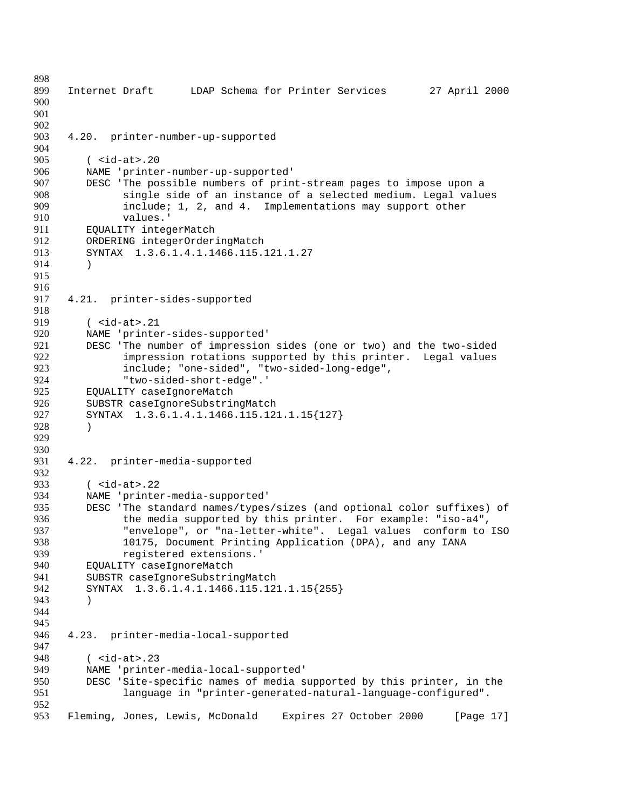Internet Draft LDAP Schema for Printer Services 27 April 2000 4.20. printer-number-up-supported 905 ( <id-at>.20<br>906 MAME 'printe NAME 'printer-number-up-supported' DESC 'The possible numbers of print-stream pages to impose upon a single side of an instance of a selected medium. Legal values include; 1, 2, and 4. Implementations may support other values.' EQUALITY integerMatch 912 ORDERING integerOrderingMatch<br>913 SYNTAX 1.3.6.1.4.1.1466.115. SYNTAX 1.3.6.1.4.1.1466.115.121.1.27 ) 4.21. printer-sides-supported ( <id-at>.21 NAME 'printer-sides-supported' 921 DESC 'The number of impression sides (one or two) and the two-sided<br>922 **Inter the impression rotations** supported by this printer. Legal values 922 impression rotations supported by this printer. Legal values<br>923 include: "one-sided", "two-sided-long-edge", include; "one-sided", "two-sided-long-edge", "two-sided-short-edge".' EQUALITY caseIgnoreMatch 926 SUBSTR caseIgnoreSubstringMatch<br>927 SYNTAX 1.3.6.1.4.1.1466.115.12 SYNTAX 1.3.6.1.4.1.1466.115.121.1.15{127} ) 4.22. printer-media-supported 933 ( <id-at>.22<br>934 MAME 'printer NAME 'printer-media-supported' 935 DESC 'The standard names/types/sizes (and optional color suffixes) of<br>936 the media supported by this printer. For example: "iso-a4". 936 the media supported by this printer. For example: "iso-a4",<br>937 Tenvelope", or "na-letter-white". Legal values conform to "envelope", or "na-letter-white". Legal values conform to ISO 10175, Document Printing Application (DPA), and any IANA 939 registered extensions.' EQUALITY caseIgnoreMatch SUBSTR caseIgnoreSubstringMatch SYNTAX 1.3.6.1.4.1.1466.115.121.1.15{255} ) 4.23. printer-media-local-supported ( <id-at>.23 NAME 'printer-media-local-supported' DESC 'Site-specific names of media supported by this printer, in the language in "printer-generated-natural-language-configured". Fleming, Jones, Lewis, McDonald Expires 27 October 2000 [Page 17]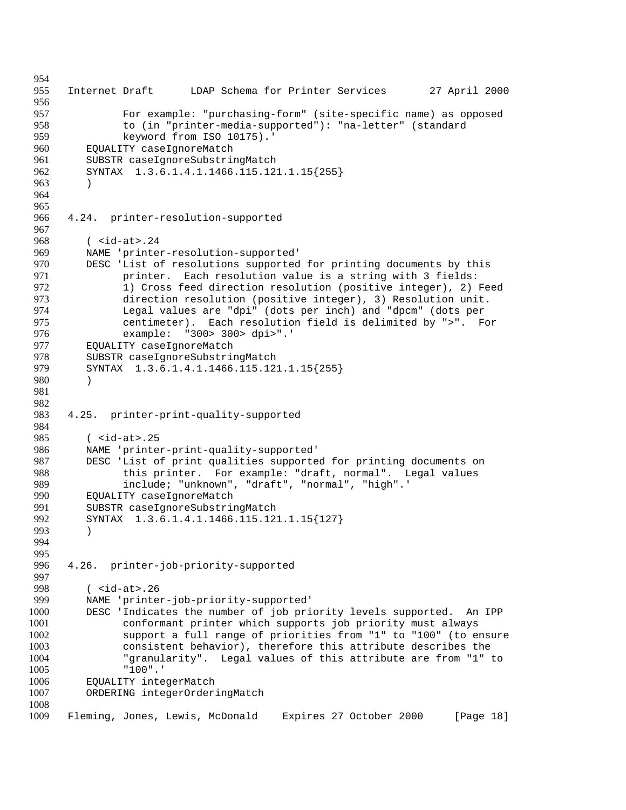Internet Draft LDAP Schema for Printer Services 27 April 2000 For example: "purchasing-form" (site-specific name) as opposed to (in "printer-media-supported"): "na-letter" (standard keyword from ISO 10175).' EQUALITY caseIgnoreMatch 961 SUBSTR caseIgnoreSubstringMatch<br>962 SYNTAX 1.3.6.1.4.1.1466.115.12 SYNTAX 1.3.6.1.4.1.1466.115.121.1.15{255} ) 4.24. printer-resolution-supported 968 ( <id-at>.24<br>969 MAME 'printe: NAME 'printer-resolution-supported' DESC 'List of resolutions supported for printing documents by this 971 printer. Each resolution value is a string with 3 fields:<br>972 1) Cross feed direction resolution (positive integer), 2) 972 1) Cross feed direction resolution (positive integer), 2) Feed<br>973 direction resolution (positive integer), 3) Resolution unit. 973 direction resolution (positive integer), 3) Resolution unit.<br>974 Legal values are "dpi" (dots per inch) and "dpcm" (dots per Legal values are "dpi" (dots per inch) and "dpcm" (dots per centimeter). Each resolution field is delimited by ">". For example: "300> 300> dpi>".' 977 EQUALITY caseIgnoreMatch<br>978 SUBSTR caseIgnoreSubstri 978 SUBSTR caseIgnoreSubstringMatch<br>979 SYNTAX 1.3.6.1.4.1.1466.115.12 SYNTAX 1.3.6.1.4.1.1466.115.121.1.15{255} ) 4.25. printer-print-quality-supported 984<br>985  $\langle$  <id-at>.25 NAME 'printer-print-quality-supported' 987 DESC 'List of print qualities supported for printing documents on this printer. For example: "draft, normal". Legal values this printer. For example: "draft, normal". Legal values include; "unknown", "draft", "normal", "high".' EQUALITY caseIgnoreMatch 991 SUBSTR caseIgnoreSubstringMatch<br>992 SYNTAX 1.3.6.1.4.1.1466.115.12 SYNTAX 1.3.6.1.4.1.1466.115.121.1.15{127} ) 4.26. printer-job-priority-supported 998 ( <id-at>.26<br>999 MAME 'printe: NAME 'printer-job-priority-supported' DESC 'Indicates the number of job priority levels supported. An IPP conformant printer which supports job priority must always support a full range of priorities from "1" to "100" (to ensure consistent behavior), therefore this attribute describes the "granularity". Legal values of this attribute are from "1" to "100".' EQUALITY integerMatch ORDERING integerOrderingMatch Fleming, Jones, Lewis, McDonald Expires 27 October 2000 [Page 18]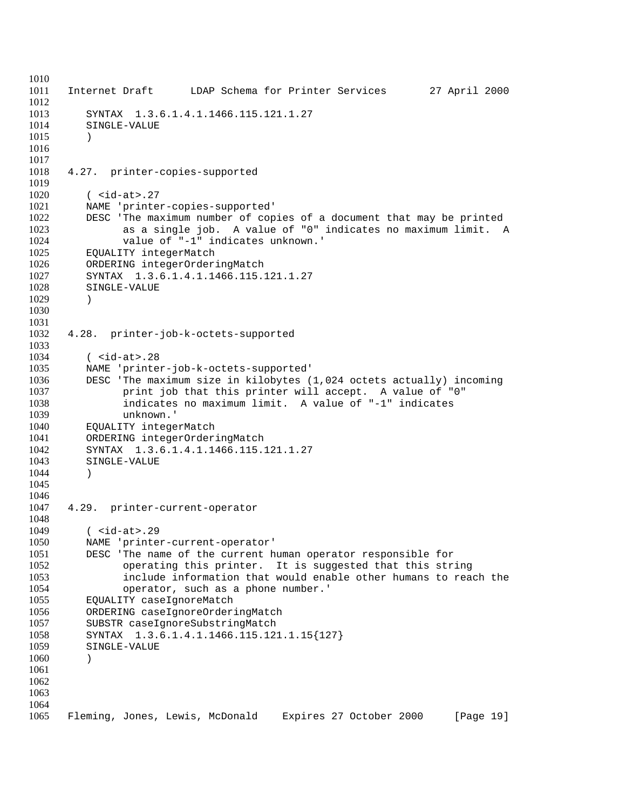Internet Draft LDAP Schema for Printer Services 27 April 2000 SYNTAX 1.3.6.1.4.1.1466.115.121.1.27 SINGLE-VALUE ) <br> $1018$ 4.27. printer-copies-supported ( <id-at>.27 NAME 'printer-copies-supported' DESC 'The maximum number of copies of a document that may be printed as a single job. A value of "0" indicates no maximum limit. A value of "-1" indicates unknown.' EQUALITY integerMatch 1026 ORDERING integerOrderingMatch<br>1027 SYNTAX 1.3.6.1.4.1.1466.115. 1027 SYNTAX 1.3.6.1.4.1.1466.115.121.1.27<br>1028 SINGLE-VALUE SINGLE-VALUE ) 4.28. printer-job-k-octets-supported ( <id-at>.28 NAME 'printer-job-k-octets-supported' DESC 'The maximum size in kilobytes (1,024 octets actually) incoming print job that this printer will accept. A value of "0" indicates no maximum limit. A value of "-1" indicates unknown.' EQUALITY integerMatch ORDERING integerOrderingMatch SYNTAX 1.3.6.1.4.1.1466.115.121.1.27 SINGLE-VALUE ) 4.29. printer-current-operator 1048<br>1049  $($  <id-at>.29 NAME 'printer-current-operator' DESC 'The name of the current human operator responsible for operating this printer. It is suggested that this string include information that would enable other humans to reach the operator, such as a phone number.' EQUALITY caseIgnoreMatch ORDERING caseIgnoreOrderingMatch SUBSTR caseIgnoreSubstringMatch SYNTAX 1.3.6.1.4.1.1466.115.121.1.15{127} SINGLE-VALUE ) Fleming, Jones, Lewis, McDonald Expires 27 October 2000 [Page 19]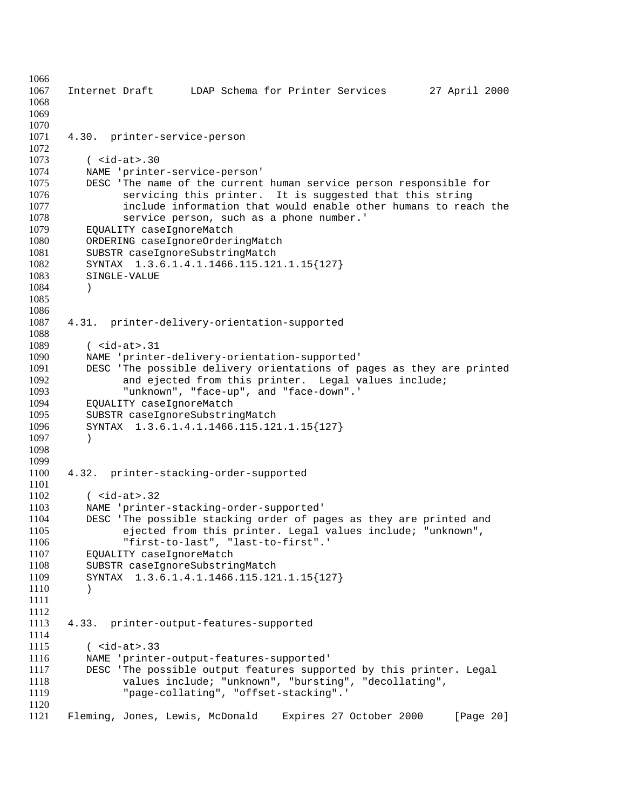Internet Draft LDAP Schema for Printer Services 27 April 2000 4.30. printer-service-person ( <id-at>.30 NAME 'printer-service-person' DESC 'The name of the current human service person responsible for servicing this printer. It is suggested that this string include information that would enable other humans to reach the service person, such as a phone number.' EQUALITY caseIgnoreMatch ORDERING caseIgnoreOrderingMatch SUBSTR caseIgnoreSubstringMatch 1082 SYNTAX 1.3.6.1.4.1.1466.115.121.1.15{127}<br>1083 SINGLE-VALUE SINGLE-VALUE ) 4.31. printer-delivery-orientation-supported ( <id-at>.31 NAME 'printer-delivery-orientation-supported' DESC 'The possible delivery orientations of pages as they are printed and ejected from this printer. Legal values include; "unknown", "face-up", and "face-down".' EQUALITY caseIgnoreMatch SUBSTR caseIgnoreSubstringMatch SYNTAX 1.3.6.1.4.1.1466.115.121.1.15{127} ) 4.32. printer-stacking-order-supported ( <id-at>.32 1103 NAME 'printer-stacking-order-supported'<br>1104 DESC 'The possible stacking order of pa 1104 DESC 'The possible stacking order of pages as they are printed and<br>1105 eiected from this printer. Legal values include; "unknown". ejected from this printer. Legal values include; "unknown", "first-to-last", "last-to-first".' EQUALITY caseIgnoreMatch SUBSTR caseIgnoreSubstringMatch SYNTAX 1.3.6.1.4.1.1466.115.121.1.15{127} ) 4.33. printer-output-features-supported ( <id-at>.33 NAME 'printer-output-features-supported' DESC 'The possible output features supported by this printer. Legal values include; "unknown", "bursting", "decollating", "page-collating", "offset-stacking".' Fleming, Jones, Lewis, McDonald Expires 27 October 2000 [Page 20]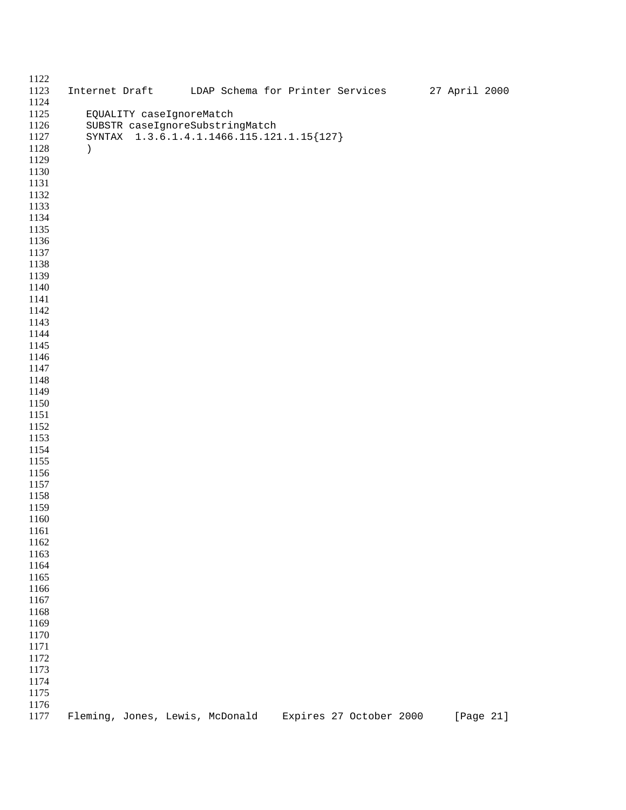| 1122<br>1123 |                                                             |  | Internet Draft UDAP Schema for Printer Services 27 April 2000 |  |                         |  |           |
|--------------|-------------------------------------------------------------|--|---------------------------------------------------------------|--|-------------------------|--|-----------|
| 1124         |                                                             |  |                                                               |  |                         |  |           |
| 1125         |                                                             |  |                                                               |  |                         |  |           |
| 1126         | EQUALITY caseIgnoreMatch<br>SUBSTR caseIgnoreSubstringMatch |  |                                                               |  |                         |  |           |
| 1127         |                                                             |  | SYNTAX 1.3.6.1.4.1.1466.115.121.1.15{127}                     |  |                         |  |           |
| 1128         | $\lambda$                                                   |  |                                                               |  |                         |  |           |
| 1129         |                                                             |  |                                                               |  |                         |  |           |
| 1130         |                                                             |  |                                                               |  |                         |  |           |
| 1131         |                                                             |  |                                                               |  |                         |  |           |
| 1132         |                                                             |  |                                                               |  |                         |  |           |
| 1133         |                                                             |  |                                                               |  |                         |  |           |
| 1134         |                                                             |  |                                                               |  |                         |  |           |
| 1135         |                                                             |  |                                                               |  |                         |  |           |
| 1136         |                                                             |  |                                                               |  |                         |  |           |
| 1137         |                                                             |  |                                                               |  |                         |  |           |
| 1138         |                                                             |  |                                                               |  |                         |  |           |
| 1139         |                                                             |  |                                                               |  |                         |  |           |
| 1140         |                                                             |  |                                                               |  |                         |  |           |
| 1141         |                                                             |  |                                                               |  |                         |  |           |
| 1142         |                                                             |  |                                                               |  |                         |  |           |
| 1143         |                                                             |  |                                                               |  |                         |  |           |
| 1144         |                                                             |  |                                                               |  |                         |  |           |
| 1145         |                                                             |  |                                                               |  |                         |  |           |
| 1146         |                                                             |  |                                                               |  |                         |  |           |
| 1147         |                                                             |  |                                                               |  |                         |  |           |
| 1148         |                                                             |  |                                                               |  |                         |  |           |
| 1149         |                                                             |  |                                                               |  |                         |  |           |
| 1150         |                                                             |  |                                                               |  |                         |  |           |
| 1151         |                                                             |  |                                                               |  |                         |  |           |
| 1152         |                                                             |  |                                                               |  |                         |  |           |
| 1153         |                                                             |  |                                                               |  |                         |  |           |
| 1154         |                                                             |  |                                                               |  |                         |  |           |
| 1155         |                                                             |  |                                                               |  |                         |  |           |
| 1156         |                                                             |  |                                                               |  |                         |  |           |
| 1157         |                                                             |  |                                                               |  |                         |  |           |
| 1158         |                                                             |  |                                                               |  |                         |  |           |
| 1159         |                                                             |  |                                                               |  |                         |  |           |
| 1160         |                                                             |  |                                                               |  |                         |  |           |
| 1161<br>1162 |                                                             |  |                                                               |  |                         |  |           |
| 1163         |                                                             |  |                                                               |  |                         |  |           |
| 1164         |                                                             |  |                                                               |  |                         |  |           |
| 1165         |                                                             |  |                                                               |  |                         |  |           |
| 1166         |                                                             |  |                                                               |  |                         |  |           |
| 1167         |                                                             |  |                                                               |  |                         |  |           |
| 1168         |                                                             |  |                                                               |  |                         |  |           |
| 1169         |                                                             |  |                                                               |  |                         |  |           |
| 1170         |                                                             |  |                                                               |  |                         |  |           |
| 1171         |                                                             |  |                                                               |  |                         |  |           |
| 1172         |                                                             |  |                                                               |  |                         |  |           |
| 1173         |                                                             |  |                                                               |  |                         |  |           |
| 1174         |                                                             |  |                                                               |  |                         |  |           |
| 1175         |                                                             |  |                                                               |  |                         |  |           |
| 1176         |                                                             |  |                                                               |  |                         |  |           |
| 1177         | Fleming, Jones, Lewis, McDonald                             |  |                                                               |  | Expires 27 October 2000 |  | [Page 21] |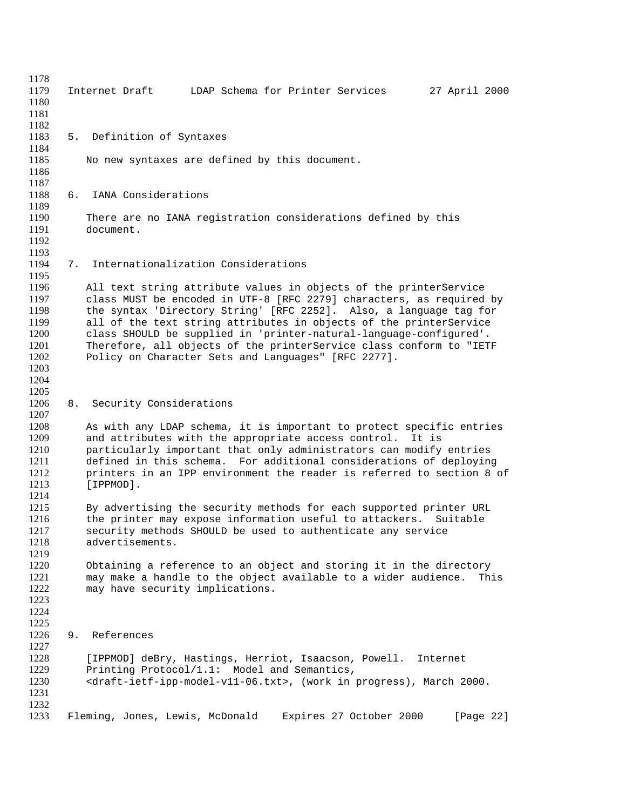| 1178                 |    |                                                                                                      |
|----------------------|----|------------------------------------------------------------------------------------------------------|
| 1179<br>1180         |    | LDAP Schema for Printer Services<br>27 April 2000<br>Internet Draft                                  |
| 1181                 |    |                                                                                                      |
| 1182                 |    |                                                                                                      |
| 1183<br>1184         |    | 5. Definition of Syntaxes                                                                            |
| 1185                 |    | No new syntaxes are defined by this document.                                                        |
| 1186                 |    |                                                                                                      |
| 1187<br>1188         | б. | IANA Considerations                                                                                  |
| 1189                 |    |                                                                                                      |
| 1190<br>1191<br>1192 |    | There are no IANA registration considerations defined by this<br>document.                           |
| 1193                 |    |                                                                                                      |
| 1194<br>1195         | 7. | Internationalization Considerations                                                                  |
| 1196                 |    | All text string attribute values in objects of the printerService                                    |
| 1197                 |    | class MUST be encoded in UTF-8 [RFC 2279] characters, as required by                                 |
| 1198                 |    | the syntax 'Directory String' [RFC 2252]. Also, a language tag for                                   |
| 1199                 |    | all of the text string attributes in objects of the printerService                                   |
| 1200                 |    | class SHOULD be supplied in 'printer-natural-language-configured'.                                   |
| 1201                 |    | Therefore, all objects of the printerService class conform to "IETF                                  |
| 1202<br>1203         |    | Policy on Character Sets and Languages" [RFC 2277].                                                  |
| 1204                 |    |                                                                                                      |
| 1205                 |    |                                                                                                      |
| 1206                 |    | 8. Security Considerations                                                                           |
| 1207                 |    |                                                                                                      |
| 1208                 |    | As with any LDAP schema, it is important to protect specific entries                                 |
| 1209                 |    | and attributes with the appropriate access control.<br>It is                                         |
| 1210                 |    | particularly important that only administrators can modify entries                                   |
| 1211                 |    | defined in this schema. For additional considerations of deploying                                   |
| 1212<br>1213         |    | printers in an IPP environment the reader is referred to section 8 of<br>[IPPMOD].                   |
| 1214                 |    |                                                                                                      |
| 1215                 |    | By advertising the security methods for each supported printer URL                                   |
| 1216                 |    | the printer may expose information useful to attackers.<br>Suitable                                  |
| 1217                 |    | security methods SHOULD be used to authenticate any service                                          |
| 1218                 |    | advertisements.                                                                                      |
| 1219                 |    |                                                                                                      |
| 1220                 |    | Obtaining a reference to an object and storing it in the directory                                   |
| 1221                 |    | may make a handle to the object available to a wider audience.<br>This                               |
| 1222<br>1223         |    | may have security implications.                                                                      |
| 1224                 |    |                                                                                                      |
| 1225                 |    |                                                                                                      |
| 1226                 | 9. | References                                                                                           |
| 1227                 |    |                                                                                                      |
| 1228                 |    | [IPPMOD] deBry, Hastings, Herriot, Isaacson, Powell.<br>Internet                                     |
| 1229                 |    | Printing Protocol/1.1: Model and Semantics,                                                          |
| 1230                 |    | <draft-ietf-ipp-model-v11-06.txt>, (work in progress), March 2000.</draft-ietf-ipp-model-v11-06.txt> |
| 1231                 |    |                                                                                                      |
| 1232<br>1233         |    | Fleming, Jones, Lewis, McDonald<br>Expires 27 October 2000<br>[Page 22]                              |
|                      |    |                                                                                                      |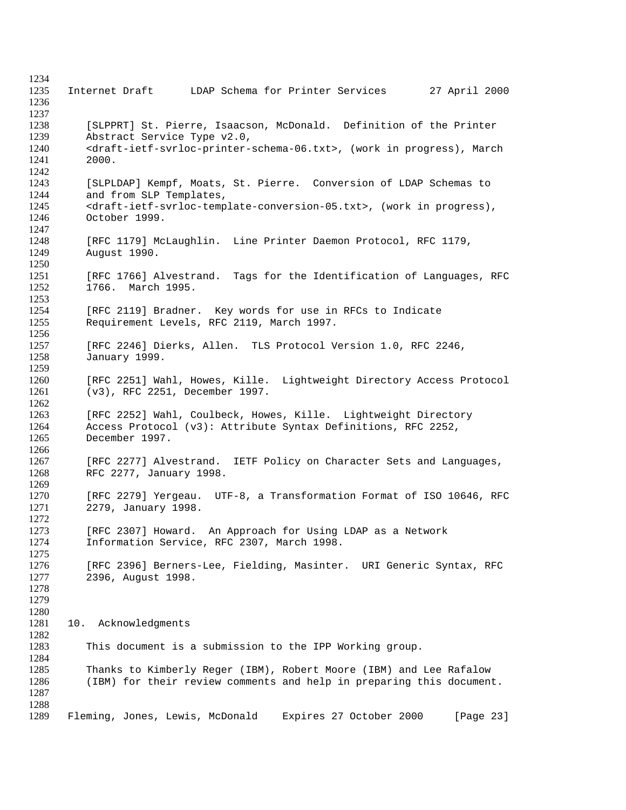Internet Draft LDAP Schema for Printer Services 27 April 2000 [SLPPRT] St. Pierre, Isaacson, McDonald. Definition of the Printer Abstract Service Type v2.0, 1240 <draft-ietf-svrloc-printer-schema-06.txt>, (work in progress), March 2000. [SLPLDAP] Kempf, Moats, St. Pierre. Conversion of LDAP Schemas to and from SLP Templates, 1245 <draft-ietf-svrloc-template-conversion-05.txt>, (work in progress), October 1999. 1248 [RFC 1179] McLaughlin. Line Printer Daemon Protocol, RFC 1179,<br>1249 Auqust 1990. August 1990. 1251 [RFC 1766] Alvestrand. Tags for the Identification of Languages, RFC 1252 1766. March 1995. 1766. March 1995. [RFC 2119] Bradner. Key words for use in RFCs to Indicate Requirement Levels, RFC 2119, March 1997. [RFC 2246] Dierks, Allen. TLS Protocol Version 1.0, RFC 2246, January 1999. [RFC 2251] Wahl, Howes, Kille. Lightweight Directory Access Protocol (v3), RFC 2251, December 1997. [RFC 2252] Wahl, Coulbeck, Howes, Kille. Lightweight Directory Access Protocol (v3): Attribute Syntax Definitions, RFC 2252, December 1997. [RFC 2277] Alvestrand. IETF Policy on Character Sets and Languages, RFC 2277, January 1998. [RFC 2279] Yergeau. UTF-8, a Transformation Format of ISO 10646, RFC 2279, January 1998.  $\frac{1272}{1273}$ [RFC 2307] Howard. An Approach for Using LDAP as a Network Information Service, RFC 2307, March 1998. [RFC 2396] Berners-Lee, Fielding, Masinter. URI Generic Syntax, RFC 2396, August 1998. 10. Acknowledgments This document is a submission to the IPP Working group. Thanks to Kimberly Reger (IBM), Robert Moore (IBM) and Lee Rafalow (IBM) for their review comments and help in preparing this document. Fleming, Jones, Lewis, McDonald Expires 27 October 2000 [Page 23]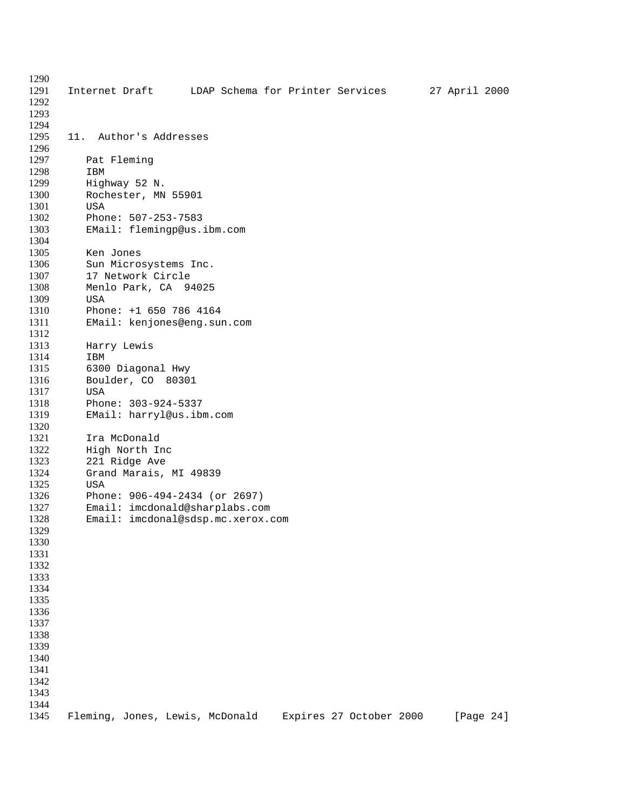Internet Draft LDAP Schema for Printer Services 27 April 2000 11. Author's Addresses Pat Fleming IBM Highway 52 N. Rochester, MN 55901 USA Phone: 507-253-7583 EMail: flemingp@us.ibm.com Ken Jones 1306 Sun Microsystems Inc.<br>1307 17 Network Circle 1307 17 Network Circle<br>1308 Menlo Park, CA 9 Menlo Park, CA 94025 USA Phone: +1 650 786 4164 EMail: kenjones@eng.sun.com Harry Lewis IBM 6300 Diagonal Hwy Boulder, CO 80301 USA Phone: 303-924-5337 EMail: harryl@us.ibm.com Ira McDonald High North Inc 1323 221 Ridge Ave<br>1324 Grand Marais, Grand Marais, MI 49839 1325 USA<br>1326 Phoi Phone: 906-494-2434 (or 2697) 1327 Email: imcdonald@sharplabs.com<br>1328 Email: imcdonal@sdsp.mc.xerox. Email: imcdonal@sdsp.mc.xerox.com Fleming, Jones, Lewis, McDonald Expires 27 October 2000 [Page 24]